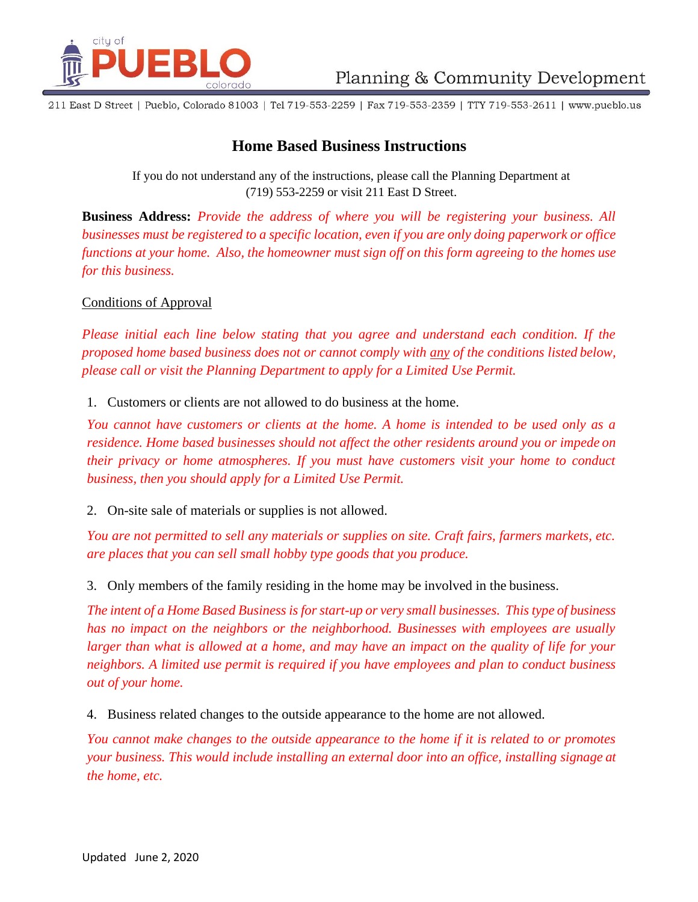

211 East D Street | Pueblo, Colorado 81003 | Tel 719-553-2259 | Fax 719-553-2359 | TTY 719-553-2611 | www.pueblo.us

## **Home Based Business Instructions**

If you do not understand any of the instructions, please call the Planning Department at (719) 553-2259 or visit 211 East D Street.

**Business Address:** *Provide the address of where you will be registering your business. All businesses must be registered to a specific location, even if you are only doing paperwork or office functions at your home. Also, the homeowner must sign off on this form agreeing to the homes use for this business.*

## Conditions of Approval

*Please initial each line below stating that you agree and understand each condition. If the proposed home based business does not or cannot comply with any of the conditions listed below, please call or visit the Planning Department to apply for a Limited Use Permit.*

1. Customers or clients are not allowed to do business at the home.

*You cannot have customers or clients at the home. A home is intended to be used only as a residence. Home based businesses should not affect the other residents around you or impede on their privacy or home atmospheres. If you must have customers visit your home to conduct business, then you should apply for a Limited Use Permit.*

2. On-site sale of materials or supplies is not allowed.

*You are not permitted to sell any materials or supplies on site. Craft fairs, farmers markets, etc. are places that you can sell small hobby type goods that you produce.*

3. Only members of the family residing in the home may be involved in the business.

The intent of a Home Based Business is for start-up or very small businesses. This type of business *has no impact on the neighbors or the neighborhood. Businesses with employees are usually larger than what is allowed at a home, and may have an impact on the quality of life for your neighbors. A limited use permit is required if you have employees and plan to conduct business out of your home.*

4. Business related changes to the outside appearance to the home are not allowed.

*You cannot make changes to the outside appearance to the home if it is related to or promotes your business. This would include installing an external door into an office, installing signage at the home, etc.*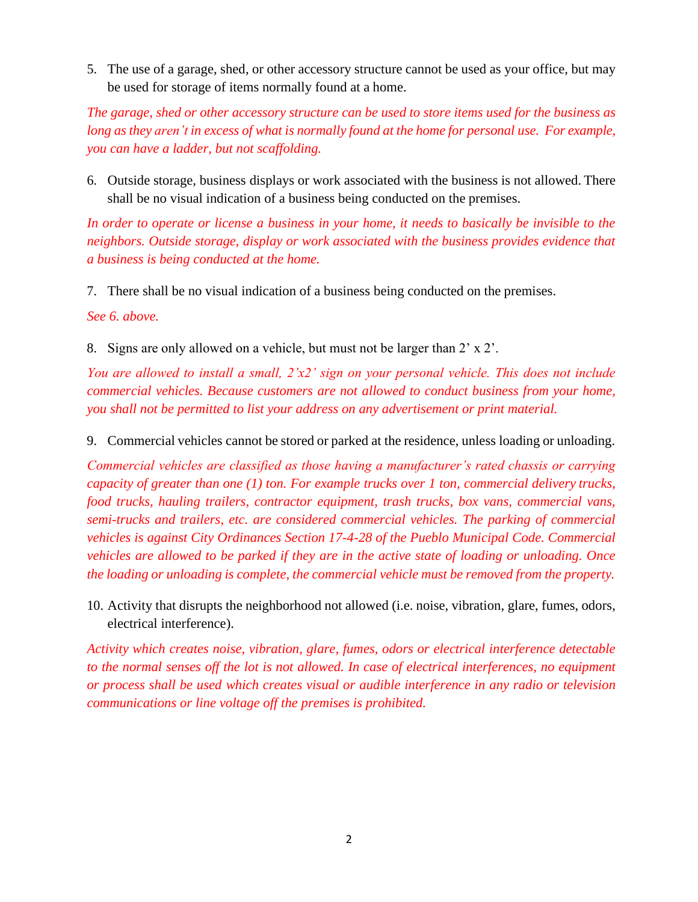5. The use of a garage, shed, or other accessory structure cannot be used as your office, but may be used for storage of items normally found at a home.

*The garage, shed or other accessory structure can be used to store items used for the business as*  long as they aren't in excess of what is normally found at the home for personal use. For example, *you can have a ladder, but not scaffolding.*

6. Outside storage, business displays or work associated with the business is not allowed. There shall be no visual indication of a business being conducted on the premises.

*In order to operate or license a business in your home, it needs to basically be invisible to the neighbors. Outside storage, display or work associated with the business provides evidence that a business is being conducted at the home.*

7. There shall be no visual indication of a business being conducted on the premises.

*See 6. above.*

8. Signs are only allowed on a vehicle, but must not be larger than 2' x 2'.

*You are allowed to install a small, 2'x2' sign on your personal vehicle. This does not include commercial vehicles. Because customers are not allowed to conduct business from your home, you shall not be permitted to list your address on any advertisement or print material.*

9. Commercial vehicles cannot be stored or parked at the residence, unless loading or unloading.

*Commercial vehicles are classified as those having a manufacturer's rated chassis or carrying capacity of greater than one (1) ton. For example trucks over 1 ton, commercial delivery trucks, food trucks, hauling trailers, contractor equipment, trash trucks, box vans, commercial vans, semi-trucks and trailers, etc. are considered commercial vehicles. The parking of commercial vehicles is against City Ordinances Section 17-4-28 of the Pueblo Municipal Code. Commercial vehicles are allowed to be parked if they are in the active state of loading or unloading. Once the loading or unloading is complete, the commercial vehicle must be removed from the property.*

10. Activity that disrupts the neighborhood not allowed (i.e. noise, vibration, glare, fumes, odors, electrical interference).

*Activity which creates noise, vibration, glare, fumes, odors or electrical interference detectable to the normal senses off the lot is not allowed. In case of electrical interferences, no equipment or process shall be used which creates visual or audible interference in any radio or television communications or line voltage off the premises is prohibited.*